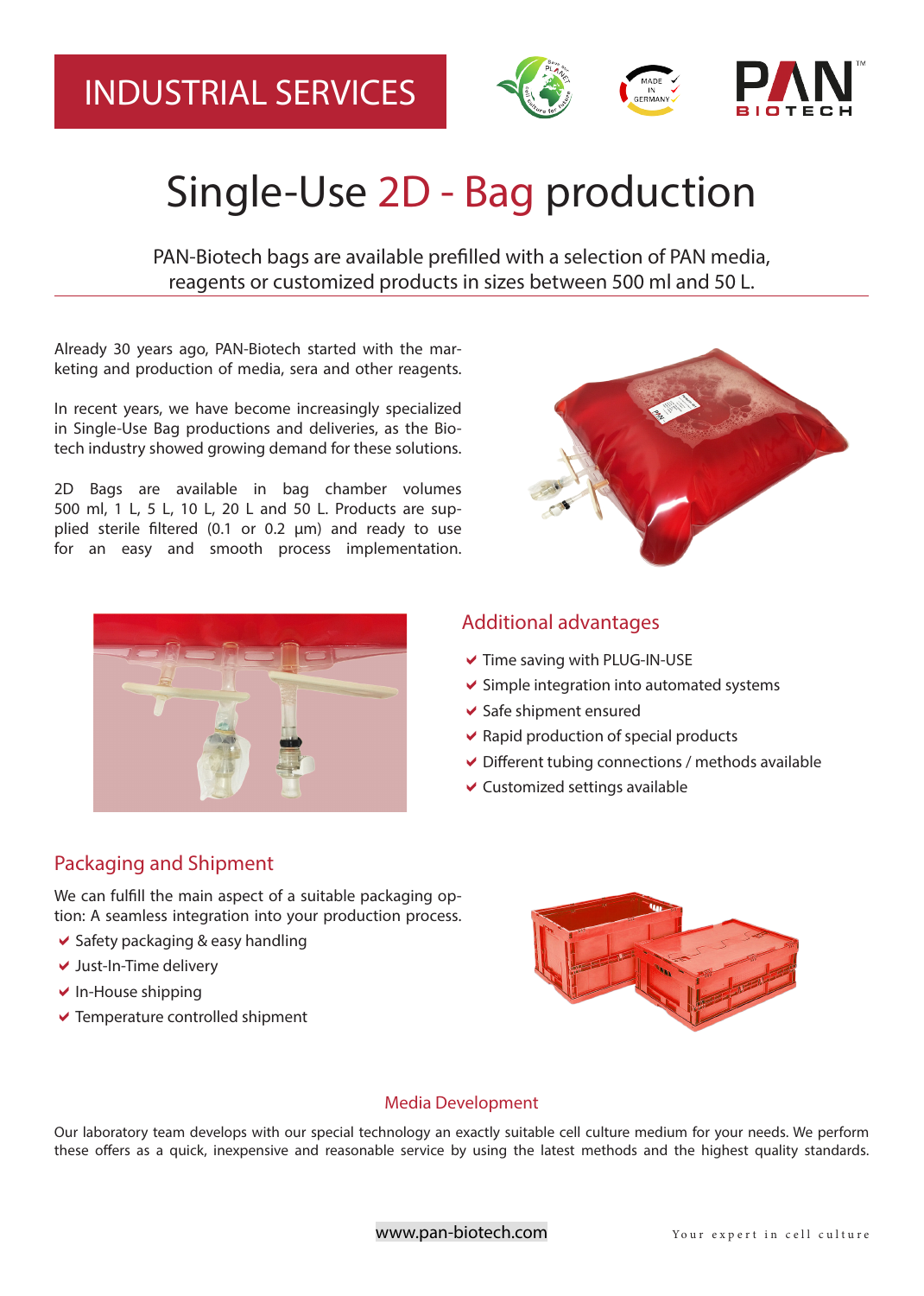## INDUSTRIAL SERVICES



# Single-Use 2D - Bag production

PAN-Biotech bags are available prefilled with a selection of PAN media, reagents or customized products in sizes between 500 ml and 50 L.

Already 30 years ago, PAN-Biotech started with the marketing and production of media, sera and other reagents.

In recent years, we have become increasingly specialized in Single-Use Bag productions and deliveries, as the Biotech industry showed growing demand for these solutions.

2D Bags are available in bag chamber volumes 500 ml, 1 L, 5 L, 10 L, 20 L and 50 L. Products are supplied sterile filtered (0.1 or 0.2  $\mu$ m) and ready to use for an easy and smooth process implementation.



## Additional advantages

- $\blacktriangleright$  Time saving with PLUG-IN-USE
- $\vee$  Simple integration into automated systems
- $\vee$  Safe shipment ensured
- $\vee$  Rapid production of special products
- $\vee$  Different tubing connections / methods available
- $\vee$  Customized settings available

### Packaging and Shipment

We can fulfill the main aspect of a suitable packaging option: A seamless integration into your production process.

- $\vee$  Safety packaging & easy handling
- $\vee$  Just-In-Time delivery
- $\vee$  In-House shipping
- $\vee$  Temperature controlled shipment



#### Media Development

Our laboratory team develops with our special technology an exactly suitable cell culture medium for your needs. We perform these ofers as a quick, inexpensive and reasonable service by using the latest methods and the highest quality standards.